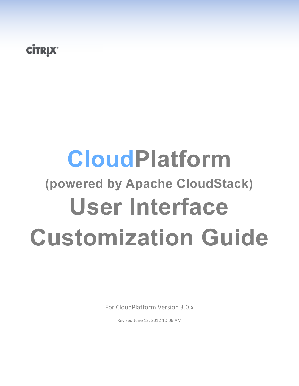# **CİTRIX**

# **CloudPlatform (powered by Apache CloudStack) User Interface Customization Guide**

For CloudPlatform Version 3.0.x

Revised June 12, 2012 10:06 AM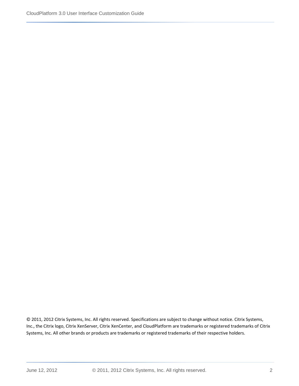© 2011, 2012 Citrix Systems, Inc. All rights reserved. Specifications are subject to change without notice. Citrix Systems, Inc., the Citrix logo, Citrix XenServer, Citrix XenCenter, and CloudPlatform are trademarks or registered trademarks of Citrix Systems, Inc. All other brands or products are trademarks or registered trademarks of their respective holders.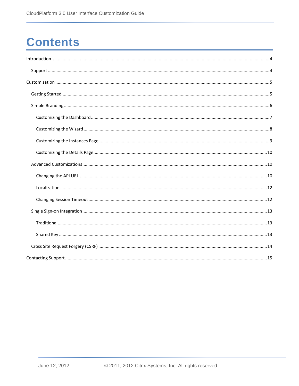# **Contents**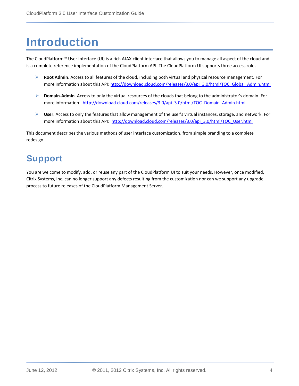# <span id="page-3-0"></span>**Introduction**

The CloudPlatform™ User Interface (UI) is a rich AJAX client interface that allows you to manage all aspect of the cloud and is a complete reference implementation of the CloudPlatform API. The CloudPlatform UI supports three access roles.

- **Root Admin**. Access to all features of the cloud, including both virtual and physical resource management. For more information about this API: [http://download.cloud.com/releases/3.0/api\\_3.0/html/TOC\\_Global\\_Admin.html](http://download.cloud.com/releases/3.0/api_3.0/html/TOC_Global_Admin.html)
- **Domain-Admin**. Access to only the virtual resources of the clouds that belong to the administrator's domain. For more information: [http://download.cloud.com/releases/3.0/api\\_3.0/html/TOC\\_Domain\\_Admin.html](http://download.cloud.com/releases/3.0/api_3.0/html/TOC_Domain_Admin.html)
- **User**. Access to only the features that allow management of the user's virtual instances, storage, and network. For more information about this API: [http://download.cloud.com/releases/3.0/api\\_3.0/html/TOC\\_User.html](http://download.cloud.com/releases/3.0/api_3.0/html/TOC_User.html)

This document describes the various methods of user interface customization, from simple branding to a complete redesign.

## <span id="page-3-1"></span>**Support**

You are welcome to modify, add, or reuse any part of the CloudPlatform UI to suit your needs. However, once modified, Citrix Systems, Inc. can no longer support any defects resulting from the customization nor can we support any upgrade process to future releases of the CloudPlatform Management Server.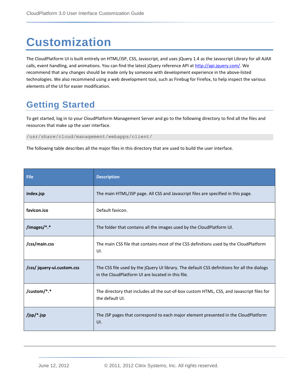# <span id="page-4-0"></span>**Customization**

The CloudPlatform UI is built entirely on HTML/JSP, CSS, Javascript, and uses jQuery 1.4 as the Javascript Library for all AJAX calls, event handling, and animations. You can find the latest jQuery reference API a[t http://api.jquery.com/.](http://api.jquery.com/) We recommend that any changes should be made only by someone with development experience in the above-listed technologies. We also recommend using a web development tool, such as Firebug for Firefox, to help inspect the various elements of the UI for easier modification.

### <span id="page-4-1"></span>**Getting Started**

To get started, log in to your CloudPlatform Management Server and go to the following directory to find all the files and resources that make up the user interface.

/usr/share/cloud/management/webapps/client/

The following table describes all the major files in this directory that are used to build the user interface.

| <b>File</b>                | <b>Description</b>                                                                                                                               |
|----------------------------|--------------------------------------------------------------------------------------------------------------------------------------------------|
| index.jsp                  | The main HTML/JSP page. All CSS and Javascript files are specified in this page.                                                                 |
| favicon.ico                | Default favicon.                                                                                                                                 |
| /images/*.*                | The folder that contains all the images used by the CloudPlatform UI.                                                                            |
| /css/main.css              | The main CSS file that contains most of the CSS definitions used by the CloudPlatform<br>UI.                                                     |
| /css/ jquery-ui.custom.css | The CSS file used by the jQuery UI library. The default CSS definitions for all the dialogs<br>in the CloudPlatform UI are located in this file. |
| /custom/*.*                | The directory that includes all the out-of-box custom HTML, CSS, and Javascript files for<br>the default UI.                                     |
| /jsp/*.jsp                 | The JSP pages that correspond to each major element presented in the CloudPlatform<br>UI.                                                        |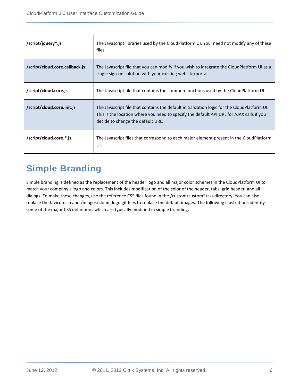| /script/jquery*.js             | The Javascript libraries used by the CloudPlatform UI. You need not modify any of these<br>files.                                                                                                                             |
|--------------------------------|-------------------------------------------------------------------------------------------------------------------------------------------------------------------------------------------------------------------------------|
| /script/cloud.core.callback.js | The Javascript file that you can modify if you wish to integrate the CloudPlatform UI as a<br>single sign-on solution with your existing website/portal.                                                                      |
| /script/cloud.core.js          | The Javascript file that contains the common functions used by the CloudPlatform UI.                                                                                                                                          |
| /script/cloud.core.init.js     | The Javascript file that contains the default initialization logic for the CloudPlatform UI.<br>This is the location where you need to specify the default API URL for AJAX calls if you<br>decide to change the default URL. |
| /script/cloud.core.*.js        | The Javascript files that correspond to each major element present in the CloudPlatform<br>UI.                                                                                                                                |

### <span id="page-5-0"></span>**Simple Branding**

Simple branding is defined as the replacement of the header logo and all major color schemes in the CloudPlatform UI to match your company's logo and colors. This includes modification of the color of the header, tabs, grid header, and all dialogs. To make these changes, use the reference CSS files found in the /custom/custom\*/css directory. You can also replace the favicon.ico and /images/cloud\_logo.gif files to replace the default images. The following illustrations identify some of the major CSS definitions which are typically modified in simple branding.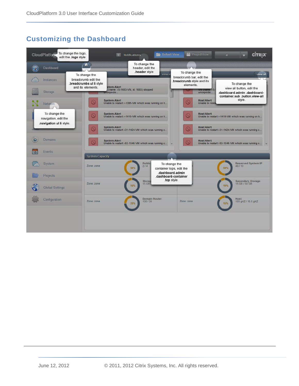#### <span id="page-6-0"></span>**Customizing the Dashboard**

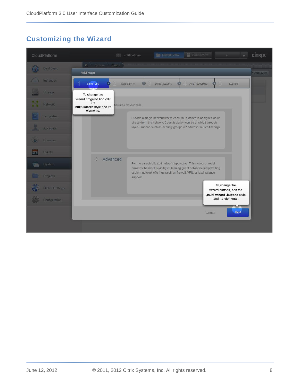#### <span id="page-7-0"></span>**Customizing the Wizard**

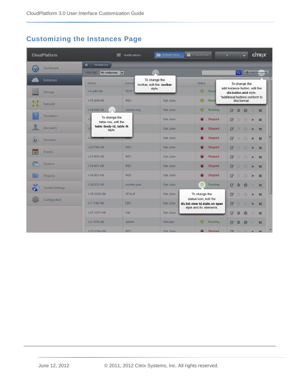#### <span id="page-8-0"></span>**Customizing the Instances Page**

| CloudPlatform               | $\boxed{0}$                                   | <b>Notifications</b> | Default View                                | <b>Project View</b>                                     | <b>CİTRIX</b><br>a<br>$\overline{\mathbf{v}}$                     |
|-----------------------------|-----------------------------------------------|----------------------|---------------------------------------------|---------------------------------------------------------|-------------------------------------------------------------------|
| Dashboard                   | $\hat{\mathbf{n}}$ Instances                  |                      |                                             |                                                         |                                                                   |
|                             | My instances<br>Filter By:                    | зű,                  |                                             |                                                         | - Add instance<br>$\alpha$                                        |
| Instances                   | Name                                          | Accoun               | To change the<br>toolbar, edit the .toolbar | <b>Status</b>                                           | To change the                                                     |
| Storage                     | $I-8-440-VM$                                  | <b>TEST</b>          | style.                                      | O)<br>Runni                                             | add instance button, edit the<br>div.button.add style.            |
| Network                     | i-15-449-VM                                   | RS4                  | San Jose                                    | ō<br>Runni                                              | *additional buttons conform to<br>this format.                    |
|                             | i-29-595-VM                                   | JamieLong            | San Jose                                    | $\circ$<br>Running                                      | $\alpha$<br>$\mathfrak{D}$<br>$\circ$<br>$\boldsymbol{\varkappa}$ |
| <b>Templates</b>            | To change the<br>$1-2$<br>table row, edit the |                      | San Jose                                    | Stopped                                                 | $\alpha$<br>ø<br>$\infty$                                         |
| <b>Accounts</b>             | table tbody td, table th<br>Е<br>style.       |                      | San Jose                                    | Stopped                                                 | $\alpha$<br>$\infty$<br>ø<br>ь                                    |
| $\bullet$<br><b>Domains</b> | $1 - 23 - 111 - 111$                          | <b>Edga</b>          | San Jose                                    | Stopped                                                 | $\alpha$<br>э<br>$\circ$<br>26<br>ь                               |
|                             | i-23-786-VM                                   | RS3                  | San Jose                                    | Stopped                                                 | $\mathbb{Z}$<br>a<br>э<br>26<br>Þ                                 |
| Events<br>15                | i-23-805-VM                                   | RS3                  | San Jose                                    | Stopped                                                 | $\alpha$<br>э<br>$\circ$<br>$\infty$                              |
| System                      | i-15-861-VM                                   | RS4                  | San Jose                                    | Stopped                                                 | $\mathbb{Z}$<br>э<br>ø<br>$\boldsymbol{\mathsf{x}}$<br>Þ          |
| Projects                    | i-16-901-VM                                   | RS5                  | San Jose                                    | Stopped                                                 | $\alpha$<br>з<br>ø<br>$\infty$                                    |
| <b>Global Settings</b>      | i-32-972-VM                                   | sumita-user          | San Jose                                    | Running                                                 | $\alpha$<br>$\mathfrak{D}$<br>$\circ$<br>$\boldsymbol{\varkappa}$ |
|                             | i-19-1030-VM                                  | <b>SCALR</b>         | San Jose                                    | To change the                                           | $\mathbb{Z}$<br>$\infty$<br>ø                                     |
| Configuration               | i-7-1118-VM                                   | DEV                  | San Jose                                    | status icon, edit the<br>div.list-view td.state.on span | $\mathbb{Z}$<br>a<br>$\infty$<br>Ø                                |
|                             | i-27-1274-VM                                  | Yali                 | San Jose                                    | style and its elements.                                 | $\alpha$<br>G<br>Ø<br>$\infty$                                    |
|                             | i-2-1276-VM                                   | admin                | Chicago                                     | o<br>Running                                            | $\alpha$<br>$\mathfrak{D}$<br>$\circ$<br>$\infty$                 |
|                             | i-23-1284-VM                                  | RS3                  | San Inse                                    | Stonned                                                 | $\sim$<br>مە                                                      |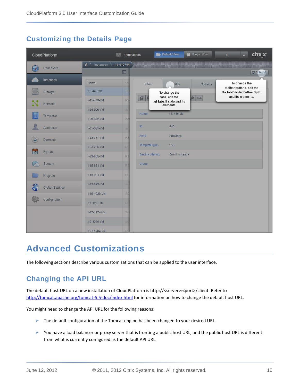#### <span id="page-9-0"></span>**Customizing the Details Page**

| CloudPlatform          | $\boxed{0}$                            | <b>Notifications</b> |                                                                     | <b>Default View</b>                                      | <b>Project View</b> | <b>CİTRIX</b><br>$\overline{\mathbf{v}}$<br>$\overline{a}$ |
|------------------------|----------------------------------------|----------------------|---------------------------------------------------------------------|----------------------------------------------------------|---------------------|------------------------------------------------------------|
| Dashboard              | $\hat{\mathbf{n}}$ Instances $\lambda$ | i-8-440-VM<br>画      |                                                                     |                                                          |                     | <b>C</b> Refresh                                           |
| Instances              | Name                                   | Hice                 | <b>Details</b>                                                      | <b>NICs</b>                                              | <b>Statistics</b>   | To change the                                              |
| Storage                | i-8-440-VM                             | TE                   |                                                                     | To change the                                            |                     | toolbar buttons, edit the<br>div.toolbar div.button style. |
| Network                | $i - 15 - 449 - VM$                    | <b>RS</b>            | $\begin{array}{c c c c} \hline \mathbb{Z} & \mathbb{R} \end{array}$ | tabs, edit the<br>.ui-tabs li style and its<br>elements. | 0000                | and its elements.                                          |
|                        | i-29-595-VM                            | Jal                  | Name                                                                | $i - 8 - 440 - VM$                                       |                     |                                                            |
| Templates              | i-20-622-VM                            | de                   |                                                                     |                                                          |                     |                                                            |
| <b>Accounts</b>        | i-35-665-VM                            | 39                   | ID:                                                                 | 440                                                      |                     |                                                            |
| $\bullet$<br>Domains   | i-23-777-VM                            | RS                   | Zone                                                                | San Jose                                                 |                     |                                                            |
|                        | i-23-786-VM                            | RS                   | Template type                                                       | 256                                                      |                     |                                                            |
| 15<br>Events           | i-23-805-VM                            | RS                   | Service offering                                                    | Small Instance                                           |                     |                                                            |
| System                 | i-15-861-VM                            | R\$                  | Group                                                               |                                                          |                     |                                                            |
| Projects               | i-16-901-VM                            | RS                   |                                                                     |                                                          |                     |                                                            |
| <b>Global Settings</b> | i-32-972-VM                            | <b>Stil</b>          |                                                                     |                                                          |                     |                                                            |
|                        | i-19-1030-VM                           | sd                   |                                                                     |                                                          |                     |                                                            |
| Configuration          | i-7-1118-VM                            | 日日                   |                                                                     |                                                          |                     |                                                            |
|                        | i-27-1274-VM                           | Yal                  |                                                                     |                                                          |                     |                                                            |
|                        | i-2-1276-VM                            | ad                   |                                                                     |                                                          |                     |                                                            |
|                        | i-23-1284-VM                           | RS                   |                                                                     |                                                          |                     |                                                            |

### <span id="page-9-1"></span>**Advanced Customizations**

The following sections describe various customizations that can be applied to the user interface.

#### <span id="page-9-2"></span>**Changing the API URL**

The default host URL on a new installation of CloudPlatform is http://<server>:<port>/client. Refer to <http://tomcat.apache.org/tomcat-5.5-doc/index.html> for information on how to change the default host URL.

You might need to change the API URL for the following reasons:

- $\triangleright$  The default configuration of the Tomcat engine has been changed to your desired URL.
- $\triangleright$  You have a load balancer or proxy server that is fronting a public host URL, and the public host URL is different from what is currently configured as the default API URL.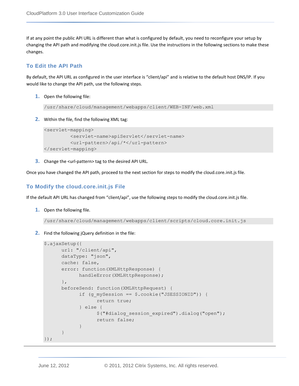If at any point the public API URL is different than what is configured by default, you need to reconfigure your setup by changing the API path and modifying the cloud.core.init.js file. Use the instructions in the following sections to make these changes.

#### **To Edit the API Path**

By default, the API URL as configured in the user interface is "client/api" and is relative to the default host DNS/IP. If you would like to change the API path, use the following steps.

**1.** Open the following file:

/usr/share/cloud/management/webapps/client/WEB-INF/web.xml

**2.** Within the file, find the following XML tag:

```
<servlet-mapping>
          <servlet-name>apiServlet</servlet-name>
          <url-pattern>/api/*</url-pattern>
</servlet-mapping>
```
**3.** Change the <url-pattern> tag to the desired API URL.

Once you have changed the API path, proceed to the next section for steps to modify the cloud.core.init.js file.

#### **To Modify the cloud.core.init.js File**

If the default API URL has changed from "client/api", use the following steps to modify the cloud.core.init.js file.

**1.** Open the following file.

/usr/share/cloud/management/webapps/client/scripts/cloud.core.init.js

**2.** Find the following jQuery definition in the file:

```
$.ajaxSetup({
      url: "/client/api",
      dataType: "json",
      cache: false,
      error: function(XMLHttpResponse) {
            handleError(XMLHttpResponse);
      },
      beforeSend: function(XMLHttpRequest) {
            if (g_mySession == $.cookie("JSESSIONID")) {
                  return true;
            } else {
                  $("#dialog_session_expired").dialog("open");
                  return false;
            }
      }
});
```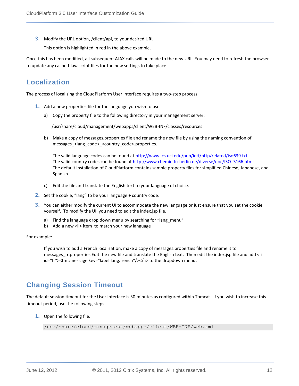**3.** Modify the URL option, /client/api, to your desired URL.

This option is highlighted in red in the above example.

Once this has been modified, all subsequent AJAX calls will be made to the new URL. You may need to refresh the browser to update any cached Javascript files for the new settings to take place.

#### <span id="page-11-0"></span>**Localization**

The process of localizing the CloudPlatform User Interface requires a two-step process:

- **1.** Add a new properties file for the language you wish to use.
	- a) Copy the property file to the following directory in your management server:

/usr/share/cloud/management/webapps/client/WEB-INF/classes/resources

b) Make a copy of messages.properties file and rename the new file by using the naming convention of messages\_<lang\_code>\_<country\_code>.properties.

The valid language codes can be found a[t http://www.ics.uci.edu/pub/ietf/http/related/iso639.txt.](http://www.ics.uci.edu/pub/ietf/http/related/iso639.txt) The valid country codes can be found at [http://www.chemie.fu-berlin.de/diverse/doc/ISO\\_3166.html](http://www.chemie.fu-berlin.de/diverse/doc/ISO_3166.html) The default installation of CloudPlatform contains sample property files for simplified Chinese, Japanese, and Spanish.

- c) Edit the file and translate the English text to your language of choice.
- **2.** Set the cookie, "lang" to be your language + country code.
- **3.** You can either modify the current UI to accommodate the new language or just ensure that you set the cookie yourself. To modify the UI, you need to edit the index.jsp file.
	- a) Find the language drop down menu by searching for "lang menu"
	- b) Add a new <li>item to match your new language

#### For example:

If you wish to add a French localization, make a copy of messages.properties file and rename it to messages fr.properties Edit the new file and translate the English text. Then edit the index.jsp file and add <li id="fr"><fmt:message key="label.lang.french"/></li> to the dropdown menu.

#### <span id="page-11-1"></span>**Changing Session Timeout**

The default session timeout for the User Interface is 30 minutes as configured within Tomcat. If you wish to increase this timeout period, use the following steps.

**1.** Open the following file.

```
/usr/share/cloud/management/webapps/client/WEB-INF/web.xml
```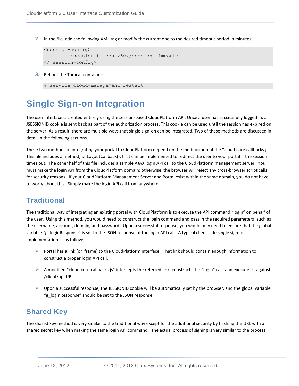**2.** In the file, add the following XML tag or modify the current one to the desired timeout period in minutes:

```
<session-config>
          <session-timeout>60</session-timeout>
</ session-config>
```
**3.** Reboot the Tomcat container:

```
# service cloud-management restart
```
### <span id="page-12-0"></span>**Single Sign-on Integration**

The user interface is created entirely using the session-based CloudPlatform API. Once a user has successfully logged in, a JSESSIONID cookie is sent back as part of the authorization process. This cookie can be used until the session has expired on the server. As a result, there are multiple ways that single sign-on can be integrated. Two of these methods are discussed in detail in the following sections.

These two methods of integrating your portal to CloudPlatform depend on the modification of the "cloud.core.callbacks.js." This file includes a method, onLogoutCallback(), that can be implemented to redirect the user to your portal if the session times out. The other half of this file includes a sample AJAX login API call to the CloudPlatform management server. You must make the login API from the CloudPlatform domain; otherwise the browser will reject any cross-browser script calls for security reasons. If your CloudPlatform Management Server and Portal exist within the same domain, you do not have to worry about this. Simply make the login API call from anywhere.

#### <span id="page-12-1"></span>**Traditional**

The traditional way of integrating an existing portal with CloudPlatform is to execute the API command "login" on behalf of the user. Using this method, you would need to construct the login command and pass in the required parameters, such as the username, account, domain, and password. Upon a successful response, you would only need to ensure that the global variable "g\_loginResponse" is set to the JSON response of the login API call. A typical client-side single sign-on implementation is as follows:

- $\triangleright$  Portal has a link (or iframe) to the CloudPlatform interface. That link should contain enough information to construct a proper login API call.
- $\triangleright$  A modified "cloud.core.callbacks.js" intercepts the referred link, constructs the "login" call, and executes it against /client/api URL.
- $\triangleright$  Upon a successful response, the JESSIONID cookie will be automatically set by the browser, and the global variable "g\_loginResponse" should be set to the JSON response.

#### <span id="page-12-2"></span>**Shared Key**

The shared key method is very similar to the traditional way except for the additional security by hashing the URL with a shared secret key when making the same login API command. The actual process of signing is very similar to the process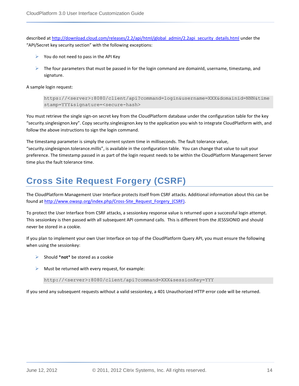described at [http://download.cloud.com/releases/2.2/api/html/global\\_admin/2.2api\\_security\\_details.html](http://download.cloud.com/releases/2.2/api/html/global_admin/2.2api_security_details.html) under the "API/Secret key security section" with the following exceptions:

- $\triangleright$  You do not need to pass in the API Key
- $\triangleright$  The four parameters that must be passed in for the login command are domainId, username, timestamp, and signature.

A sample login request:

```
https://<server>:8080/client/api?command=login&username=XXX&domainid=NNN&time
stamp=YYY&signature=<secure-hash>
```
You must retrieve the single sign-on secret key from the CloudPlatform database under the configuration table for the key "security.singlesignon.key". Copy security.singlesignon.key to the application you wish to integrate CloudPlatform with, and follow the above instructions to sign the login command.

The timestamp parameter is simply the current system time in milliseconds. The fault tolerance value,

"security.singlesignon.tolerance.millis", is available in the configuration table. You can change that value to suit your preference. The timestamp passed in as part of the login request needs to be within the CloudPlatform Management Server time plus the fault tolerance time.

### <span id="page-13-0"></span>**Cross Site Request Forgery (CSRF)**

The CloudPlatform Management User Interface protects itself from CSRF attacks. Additional information about this can be found a[t http://www.owasp.org/index.php/Cross-Site\\_Request\\_Forgery\\_\(CSRF\).](http://www.owasp.org/index.php/Cross-Site_Request_Forgery_(CSRF))

To protect the User Interface from CSRF attacks, a sessionkey response value is returned upon a successful login attempt. This sessionkey is then passed with all subsequent API command calls. This is different from the JESSSIONID and should never be stored in a cookie.

If you plan to implement your own User Interface on top of the CloudPlatform Query API, you must ensure the following when using the sessionkey:

- Should \***not**\* be stored as a cookie
- $\triangleright$  Must be returned with every request, for example:

http://<server>:8080/client/api?command=XXX&sessionKey=YYY

If you send any subsequent requests without a valid sessionkey, a 401 Unauthorized HTTP error code will be returned.